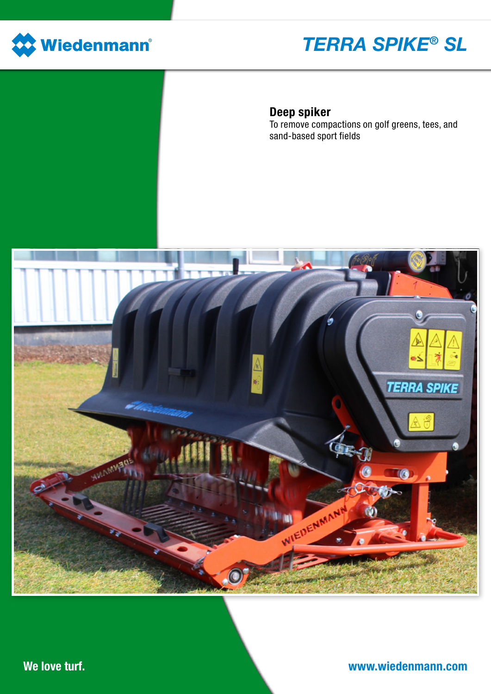

# *TERRA SPIKE® SL*

## Deep spiker

To remove compactions on golf greens, tees, and sand-based sport fields

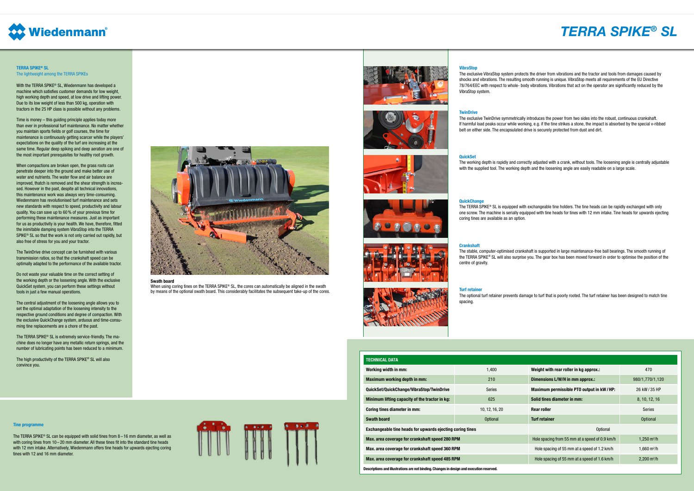| <b>TECHNICAL DATA</b>                                                                     |                |                                                |                         |
|-------------------------------------------------------------------------------------------|----------------|------------------------------------------------|-------------------------|
| Working width in mm:                                                                      | 1,400          | Weight with rear roller in kg approx.:         | 470                     |
| Maximum working depth in mm:                                                              | 210            | Dimensions L/W/H in mm approx.:                | 980/1,770/1,120         |
| QuickSet/QuickChange/VibraStop/TwinDrive                                                  | <b>Series</b>  | Maximum permissible PTO output in kW/HP:       | 26 kW/35 HP             |
| Minimum lifting capacity of the tractor in kg:                                            | 625            | Solid tines diameter in mm:                    | 8, 10, 12, 16           |
| Coring tines diameter in mm:                                                              | 10, 12, 16, 20 | <b>Rear roller</b>                             | <b>Series</b>           |
| <b>Swath board</b>                                                                        | Optional       | <b>Turf retainer</b>                           | <b>Optional</b>         |
| Exchangeable tine heads for upwards ejecting coring tines                                 |                | Optional                                       |                         |
| Max. area coverage for crankshaft speed 280 RPM                                           |                | Hole spacing from 55 mm at a speed of 0.9 km/h | 1,250 m <sup>2</sup> /h |
| Max. area coverage for crankshaft speed 360 RPM                                           |                | Hole spacing of 55 mm at a speed of 1.2 km/h   | 1,660 m <sup>2</sup> /h |
| Max. area coverage for crankshaft speed 485 RPM                                           |                | Hole spacing of 55 mm at a speed of 1.6 km/h   | $2,200 \text{ m}^2/h$   |
| Descriptions and illustrations are not binding. Changes in design and execution reserved. |                |                                                |                         |

## *TERRA SPIKE® SL*



#### TERRA SPIKE® SL The lightweight among the TERRA SPIKEs

With the TERRA SPIKE® SL, Wiedenmann has developed a machine which satisfies customer demands for low weight, high working depth and speed, at low drive and lifting power. Due to its low weight of less than 500 kg, operation with tractors in the 25 HP class is possible without any problems.

Time is money – this guiding principle applies today more than ever in professional turf maintenance. No matter whether you maintain sports fields or golf courses, the time for maintenance is continuously getting scarcer while the players' expectations on the quality of the turf are increasing at the same time. Regular deep spiking and deep aeration are one of the most important prerequisites for healthy root growth.

The TERRA SPIKE<sup>®</sup> SL can be equipped with solid tines from  $8-16$  mm diameter, as well as with coring tines from 10-20 mm diameter. All these tines fit into the standard tine heads with 12 mm intake. Alternatively, Wiedenmann offers tine heads for upwards ejecting coring tines with 12 and 16 mm diameter.



When using coring tines on the TERRA SPIKE<sup>®</sup> SL, the cores can automatically be aligned in the swath by means of the optional swath board. This considerably facilitates the subsequent take-up of the cores.





#### **VibraSton**

When compactions are broken open, the grass roots can penetrate deeper into the ground and make better use of water and nutrients. The water flow and air balance are improved, thatch is removed and the shear strength is increased. However in the past, despite all technical innovations, this maintenance work was always very time-consuming. Wiedenmann has revolutionised turf maintenance and sets new standards with respect to speed, productivity and labour quality. You can save up to 60% of your previous time for performing these maintenance measures. Just as important for us as productivity is your health. We have, therefore, fitted the inimitable damping system VibraStop into the TERRA SPIKE® SL so that the work is not only carried out rapidly, but also free of stress for you and your tractor.

The TwinDrive drive concept can be furnished with various transmission ratios, so that the crankshaft speed can be optimally adapted to the performance of the available tractor.

Do not waste your valuable time on the correct setting of the working depth or the loosening angle. With the exclusive QuickSet system, you can perform these settings without tools in just a few manual operations.

The central adjustment of the loosening angle allows you to set the optimal adaptation of the loosening intensity to the respective ground conditions and degree of compaction. With the exclusive QuickChange system, arduous and time-consuming tine replacements are a chore of the past.

The TERRA SPIKE® SL is extremely service-friendly. The machine does no longer have any metallic return springs, and the number of lubricating points has been reduced to a minimum.

The high productivity of the TERRA SPIKE® SL will also convince you.



#### Tine programme

Swath board

The exclusive VibraStop system protects the driver from vibrations and the tractor and tools from damages caused by shocks and vibrations. The resulting smooth running is unique. VibraStop meets all requirements of the EU Directive 78/764/EEC with respect to whole- body vibrations. Vibrations that act on the operator are significantly reduced by the VibraStop system.

#### **TwinDrive**

The exclusive TwinDrive symmetrically introduces the power from two sides into the robust, continuous crankshaft. If harmful load peaks occur while working, e.g. if the tine strikes a stone, the impact is absorbed by the special v-ribbed belt on either side. The encapsulated drive is securely protected from dust and dirt.

#### QuickSet

The working depth is rapidly and correctly adjusted with a crank, without tools. The loosening angle is centrally adjustable with the supplied tool. The working depth and the loosening angle are easily readable on a large scale.

#### **QuickChange**

The TERRA SPIKE® SL is equipped with exchangeable tine holders. The tine heads can be rapidly exchanged with only one screw. The machine is serially equipped with tine heads for tines with 12 mm intake. Tine heads for upwards ejecting coring tines are available as an option.

#### Crankshaft

centre of gravity.

#### **Turf retainer**

spacing.

The stable, computer-optimised crankshaft is supported in large maintenance-free ball bearings. The smooth running of the TERRA SPIKE® SL will also surprise you. The gear box has been moved forward in order to optimise the position of the

The optional turf retainer prevents damage to turf that is poorly rooted. The turf retainer has been designed to match tine